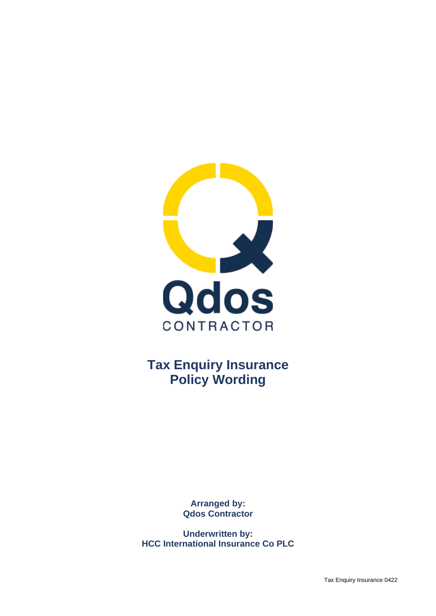

**Tax Enquiry Insurance Policy Wording**

> **Arranged by: Qdos Contractor**

**Underwritten by: HCC International Insurance Co PLC**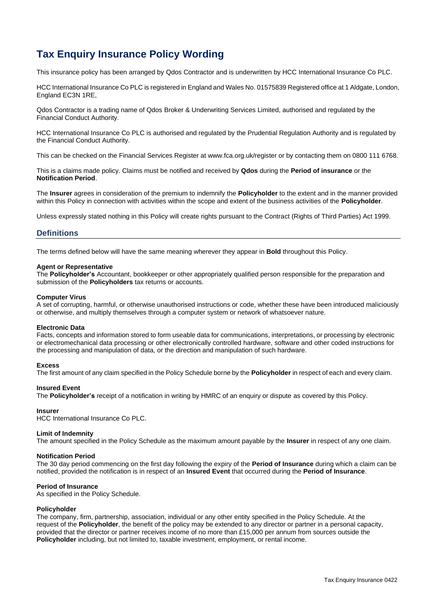# **Tax Enquiry Insurance Policy Wording**

This insurance policy has been arranged by Qdos Contractor and is underwritten by HCC International Insurance Co PLC.

HCC International Insurance Co PLC is registered in England and Wales No. 01575839 Registered office at 1 Aldgate, London, England EC3N 1RE,

Qdos Contractor is a trading name of Qdos Broker & Underwriting Services Limited, authorised and regulated by the Financial Conduct Authority.

HCC International Insurance Co PLC is authorised and regulated by the Prudential Regulation Authority and is regulated by the Financial Conduct Authority.

This can be checked on the Financial Services Register at www.fca.org.uk/register or by contacting them on 0800 111 6768.

This is a claims made policy. Claims must be notified and received by **Qdos** during the **Period of insurance** or the **Notification Period**.

The **Insurer** agrees in consideration of the premium to indemnify the **Policyholder** to the extent and in the manner provided within this Policy in connection with activities within the scope and extent of the business activities of the **Policyholder**.

Unless expressly stated nothing in this Policy will create rights pursuant to the Contract (Rights of Third Parties) Act 1999.

## **Definitions**

The terms defined below will have the same meaning wherever they appear in **Bold** throughout this Policy.

#### **Agent or Representative**

The **Policyholder's** Accountant, bookkeeper or other appropriately qualified person responsible for the preparation and submission of the **Policyholders** tax returns or accounts.

#### **Computer Virus**

A set of corrupting, harmful, or otherwise unauthorised instructions or code, whether these have been introduced maliciously or otherwise, and multiply themselves through a computer system or network of whatsoever nature.

#### **Electronic Data**

Facts, concepts and information stored to form useable data for communications, interpretations, or processing by electronic or electromechanical data processing or other electronically controlled hardware, software and other coded instructions for the processing and manipulation of data, or the direction and manipulation of such hardware.

#### **Excess**

The first amount of any claim specified in the Policy Schedule borne by the **Policyholder** in respect of each and every claim.

#### **Insured Event**

The **Policyholder's** receipt of a notification in writing by HMRC of an enquiry or dispute as covered by this Policy.

#### **Insurer**

HCC International Insurance Co PLC.

#### **Limit of Indemnity**

The amount specified in the Policy Schedule as the maximum amount payable by the **Insurer** in respect of any one claim.

#### **Notification Period**

The 30 day period commencing on the first day following the expiry of the **Period of Insurance** during which a claim can be notified, provided the notification is in respect of an **Insured Event** that occurred during the **Period of Insurance**.

#### **Period of Insurance**

As specified in the Policy Schedule.

#### **Policyholder**

The company, firm, partnership, association, individual or any other entity specified in the Policy Schedule. At the request of the **Policyholder**, the benefit of the policy may be extended to any director or partner in a personal capacity, provided that the director or partner receives income of no more than £15,000 per annum from sources outside the **Policyholder** including, but not limited to, taxable investment, employment, or rental income.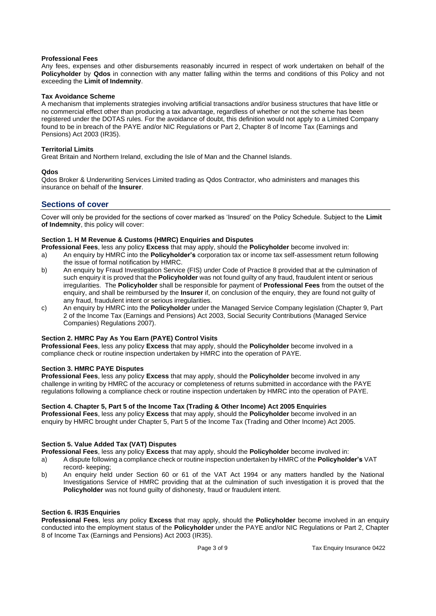## **Professional Fees**

Any fees, expenses and other disbursements reasonably incurred in respect of work undertaken on behalf of the **Policyholder** by **Qdos** in connection with any matter falling within the terms and conditions of this Policy and not exceeding the **Limit of Indemnity**.

#### **Tax Avoidance Scheme**

A mechanism that implements strategies involving artificial transactions and/or business structures that have little or no commercial effect other than producing a tax advantage, regardless of whether or not the scheme has been registered under the DOTAS rules. For the avoidance of doubt, this definition would not apply to a Limited Company found to be in breach of the PAYE and/or NIC Regulations or Part 2, Chapter 8 of Income Tax (Earnings and Pensions) Act 2003 (IR35).

#### **Territorial Limits**

Great Britain and Northern Ireland, excluding the Isle of Man and the Channel Islands.

## **Qdos**

Qdos Broker & Underwriting Services Limited trading as Qdos Contractor, who administers and manages this insurance on behalf of the **Insurer**.

# **Sections of cover**

Cover will only be provided for the sections of cover marked as 'Insured' on the Policy Schedule. Subject to the **Limit of Indemnity**, this policy will cover:

## **Section 1. H M Revenue & Customs (HMRC) Enquiries and Disputes**

**Professional Fees**, less any policy **Excess** that may apply, should the **Policyholder** become involved in:

- a) An enquiry by HMRC into the **Policyholder's** corporation tax or income tax self-assessment return following the issue of formal notification by HMRC.
- b) An enquiry by Fraud Investigation Service (FIS) under Code of Practice 8 provided that at the culmination of such enquiry it is proved that the **Policyholder** was not found guilty of any fraud, fraudulent intent or serious irregularities. The **Policyholder** shall be responsible for payment of **Professional Fees** from the outset of the enquiry, and shall be reimbursed by the **Insurer** if, on conclusion of the enquiry, they are found not guilty of any fraud, fraudulent intent or serious irregularities.
- c) An enquiry by HMRC into the **Policyholder** under the Managed Service Company legislation (Chapter 9, Part 2 of the Income Tax (Earnings and Pensions) Act 2003, Social Security Contributions (Managed Service Companies) Regulations 2007).

## **Section 2. HMRC Pay As You Earn (PAYE) Control Visits**

**Professional Fees**, less any policy **Excess** that may apply, should the **Policyholder** become involved in a compliance check or routine inspection undertaken by HMRC into the operation of PAYE.

#### **Section 3. HMRC PAYE Disputes**

**Professional Fees**, less any policy **Excess** that may apply, should the **Policyholder** become involved in any challenge in writing by HMRC of the accuracy or completeness of returns submitted in accordance with the PAYE regulations following a compliance check or routine inspection undertaken by HMRC into the operation of PAYE.

#### **Section 4. Chapter 5, Part 5 of the Income Tax (Trading & Other Income) Act 2005 Enquiries**

**Professional Fees**, less any policy **Excess** that may apply, should the **Policyholder** become involved in an enquiry by HMRC brought under Chapter 5, Part 5 of the Income Tax (Trading and Other Income) Act 2005.

## **Section 5. Value Added Tax (VAT) Disputes**

**Professional Fees**, less any policy **Excess** that may apply, should the **Policyholder** become involved in:

- a) A dispute following a compliance check or routine inspection undertaken by HMRC of the **Policyholder's** VAT record- keeping;
- b) An enquiry held under Section 60 or 61 of the VAT Act 1994 or any matters handled by the National Investigations Service of HMRC providing that at the culmination of such investigation it is proved that the **Policyholder** was not found guilty of dishonesty, fraud or fraudulent intent.

#### **Section 6. IR35 Enquiries**

**Professional Fees**, less any policy **Excess** that may apply, should the **Policyholder** become involved in an enquiry conducted into the employment status of the **Policyholder** under the PAYE and/or NIC Regulations or Part 2, Chapter 8 of Income Tax (Earnings and Pensions) Act 2003 (IR35).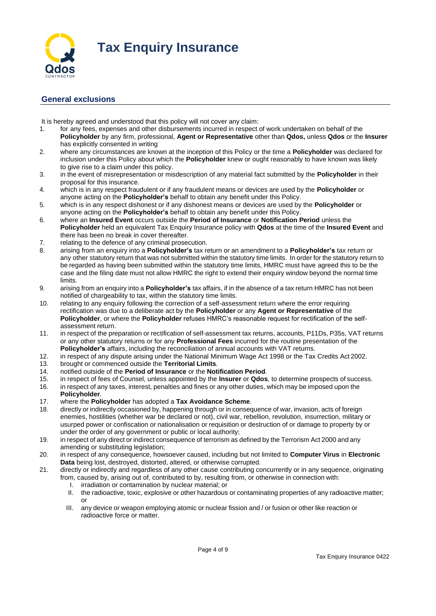

# **General exclusions**

It is hereby agreed and understood that this policy will not cover any claim:

- 1. for any fees, expenses and other disbursements incurred in respect of work undertaken on behalf of the **Policyholder** by any firm, professional, **Agent or Representative** other than **Qdos,** unless **Qdos** or the **Insurer**  has explicitly consented in writing
- 2. where any circumstances are known at the inception of this Policy or the time a **Policyholder** was declared for inclusion under this Policy about which the **Policyholder** knew or ought reasonably to have known was likely to give rise to a claim under this policy.
- 3. in the event of misrepresentation or misdescription of any material fact submitted by the **Policyholder** in their proposal for this insurance.
- 4. which is in any respect fraudulent or if any fraudulent means or devices are used by the **Policyholder** or anyone acting on the **Policyholder's** behalf to obtain any benefit under this Policy.
- 5. which is in any respect dishonest or if any dishonest means or devices are used by the **Policyholder** or anyone acting on the **Policyholder's** behalf to obtain any benefit under this Policy.
- 6. where an **Insured Event** occurs outside the **Period of Insurance** or **Notification Period** unless the **Policyholder** held an equivalent Tax Enquiry Insurance policy with **Qdos** at the time of the **Insured Event** and there has been no break in cover thereafter.
- 7. relating to the defence of any criminal prosecution.
- 8. arising from an enquiry into a **Policyholder's** tax return or an amendment to a **Policyholder's** tax return or any other statutory return that was not submitted within the statutory time limits. In order for the statutory return to be regarded as having been submitted within the statutory time limits, HMRC must have agreed this to be the case and the filing date must not allow HMRC the right to extend their enquiry window beyond the normal time limits.
- 9. arising from an enquiry into a **Policyholder's** tax affairs, if in the absence of a tax return HMRC has not been notified of chargeability to tax, within the statutory time limits.
- 10. relating to any enquiry following the correction of a self-assessment return where the error requiring rectification was due to a deliberate act by the **Policyholder** or any **Agent or Representative** of the **Policyholder**, or where the **Policyholder** refuses HMRC's reasonable request for rectification of the selfassessment return.
- 11. in respect of the preparation or rectification of self-assessment tax returns, accounts, P11Ds, P35s, VAT returns or any other statutory returns or for any **Professional Fees** incurred for the routine presentation of the **Policyholder's** affairs, including the reconciliation of annual accounts with VAT returns.
- 12. in respect of any dispute arising under the National Minimum Wage Act 1998 or the Tax Credits Act 2002.<br>13. brought or commenced outside the **Territorial Limits**. 13. brought or commenced outside the **Territorial Limits***.*
- 14. notified outside of the **Period of Insurance** or the **Notification Period***.*
- 15. in respect of fees of Counsel, unless appointed by the **Insurer** or **Qdos***,* to determine prospects of success.
- 16. in respect of any taxes, interest, penalties and fines or any other duties, which may be imposed upon the **Policyholder***.*
- 17. where the **Policyholder** has adopted a **Tax Avoidance Scheme**.
- 18. directly or indirectly occasioned by, happening through or in consequence of war, invasion, acts of foreign enemies, hostilities (whether war be declared or not), civil war, rebellion, revolution, insurrection, military or usurped power or confiscation or nationalisation or requisition or destruction of or damage to property by or under the order of any government or public or local authority;
- 19. in respect of any direct or indirect consequence of terrorism as defined by the Terrorism Act 2000 and any amending or substituting legislation;
- 20. in respect of any consequence, howsoever caused, including but not limited to **Computer Virus** in **Electronic Data** being lost, destroyed, distorted, altered, or otherwise corrupted.
- 21. directly or indirectly and regardless of any other cause contributing concurrently or in any sequence, originating from, caused by, arising out of, contributed to by, resulting from, or otherwise in connection with:
	- I. irradiation or contamination by nuclear material; or
	- II. the radioactive, toxic, explosive or other hazardous or contaminating properties of any radioactive matter; or
	- III. any device or weapon employing atomic or nuclear fission and / or fusion or other like reaction or radioactive force or matter.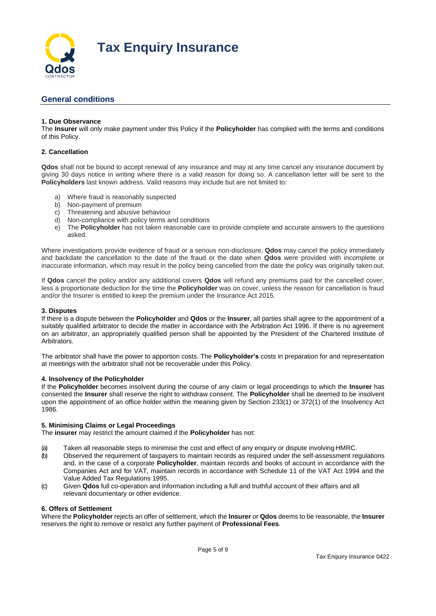

# **General conditions**

## **1. Due Observance**

The **Insurer** will only make payment under this Policy if the **Policyholder** has complied with the terms and conditions of this Policy.

## **2. Cancellation**

**Qdos** shall not be bound to accept renewal of any insurance and may at any time cancel any insurance document by giving 30 days notice in writing where there is a valid reason for doing so. A cancellation letter will be sent to the **Policyholders** last known address. Valid reasons may include but are not limited to:

- a) Where fraud is reasonably suspected
- b) Non-payment of premium
- c) Threatening and abusive behaviour
- d) Non-compliance with policy terms and conditions
- e) The **Policyholder** has not taken reasonable care to provide complete and accurate answers to the questions asked.

Where investigations provide evidence of fraud or a serious non-disclosure, **Qdos** may cancel the policy immediately and backdate the cancellation to the date of the fraud or the date when **Qdos** were provided with incomplete or inaccurate information, which may result in the policy being cancelled from the date the policy was originally taken out.

If **Qdos** cancel the policy and/or any additional covers **Qdos** will refund any premiums paid for the cancelled cover, less a proportionate deduction for the time the **Policyholder** was on cover, unless the reason for cancellation is fraud and/or the Insurer is entitled to keep the premium under the Insurance Act 2015.

#### **3. Disputes**

If there is a dispute between the **Policyholder** and **Qdos** or the **Insurer**, all parties shall agree to the appointment of a suitably qualified arbitrator to decide the matter in accordance with the Arbitration Act 1996. If there is no agreement on an arbitrator, an appropriately qualified person shall be appointed by the President of the Chartered Institute of **Arhitrators.** 

The arbitrator shall have the power to apportion costs. The **Policyholder's** costs in preparation for and representation at meetings with the arbitrator shall not be recoverable under this Policy.

#### **4. Insolvency of the Policyholder**

If the **Policyholder** becomes insolvent during the course of any claim or legal proceedings to which the **Insurer** has consented the **Insurer** shall reserve the right to withdraw consent. The **Policyholder** shall be deemed to be insolvent upon the appointment of an office holder within the meaning given by Section 233(1) or 372(1) of the Insolvency Act 1986.

#### **5. Minimising Claims or Legal Proceedings**

The **insurer** may restrict the amount claimed if the **Policyholder** has not:

- (a) Taken all reasonable steps to minimise the cost and effect of any enquiry or dispute involving HMRC.
- (b) Observed the requirement of taxpayers to maintain records as required under the self-assessment regulations and, in the case of a corporate **Policyholder**, maintain records and books of account in accordance with the Companies Act and for VAT, maintain records in accordance with Schedule 11 of the VAT Act 1994 and the Value Added Tax Regulations 1995.
- (c) Given **Qdos** full co-operation and information including a full and truthful account of their affairs and all relevant documentary or other evidence.

#### **6. Offers of Settlement**

Where the **Policyholder** rejects an offer of settlement, which the **Insurer** or **Qdos** deems to be reasonable, the **Insurer** reserves the right to remove or restrict any further payment of **Professional Fees***.*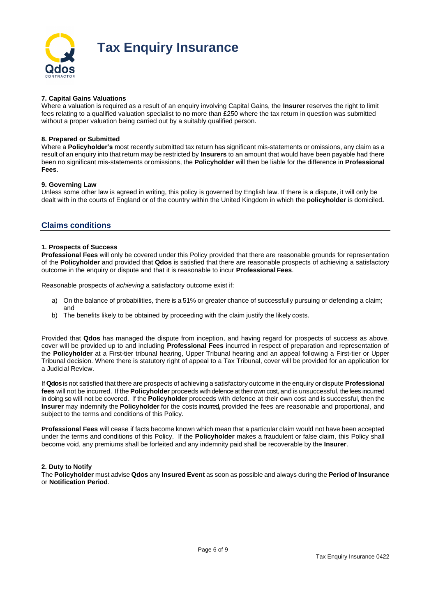

# **Tax Enquiry Insurance**

## **7. Capital Gains Valuations**

Where a valuation is required as a result of an enquiry involving Capital Gains, the **Insurer** reserves the right to limit fees relating to a qualified valuation specialist to no more than £250 where the tax return in question was submitted without a proper valuation being carried out by a suitably qualified person.

## **8. Prepared or Submitted**

Where a **Policyholder's** most recently submitted tax return has significant mis-statements or omissions, any claim as a result of an enquiry into that return may be restricted by **Insurers** to an amount that would have been payable had there been no significant mis-statements oromissions, the **Policyholder** will then be liable for the difference in **Professional Fees**.

#### **9. Governing Law**

Unless some other law is agreed in writing, this policy is governed by English law. If there is a dispute, it will only be dealt with in the courts of England or of the country within the United Kingdom in which the **policyholder** is domiciled**.** 

## **Claims conditions**

#### **1. Prospects of Success**

**Professional Fees** will only be covered under this Policy provided that there are reasonable grounds for representation of the **Policyholder** and provided that **Qdos** is satisfied that there are reasonable prospects of achieving a satisfactory outcome in the enquiry or dispute and that it is reasonable to incur **Professional Fees**.

Reasonable prospects of *achieving* a satisfactory outcome exist if:

- a) On the balance of probabilities, there is a 51% or greater chance of successfully pursuing or defending a claim; and
- b) The benefits likely to be obtained by proceeding with the claim justify the likely costs.

Provided that **Qdos** has managed the dispute from inception, and having regard for prospects of success as above, cover will be provided up to and including **Professional Fees** incurred in respect of preparation and representation of the **Policyholder** at a First-tier tribunal hearing, Upper Tribunal hearing and an appeal following a First-tier or Upper Tribunal decision. Where there is statutory right of appeal to a Tax Tribunal, cover will be provided for an application for a Judicial Review.

If **Qdos**is not satisfied that there are prospects of achieving a satisfactory outcome in the enquiry or dispute **Professional fees** will not be incurred. If the **Policyholder** proceeds with defence at their own cost, and is unsuccessful, the fees incurred in doing so will not be covered. If the **Policyholder** proceeds with defence at their own cost and is successful, then the **Insurer** may indemnify the **Policyholder** for the costs incurred**,** provided the fees are reasonable and proportional, and subject to the terms and conditions of this Policy.

**Professional Fees** will cease if facts become known which mean that a particular claim would not have been accepted under the terms and conditions of this Policy. If the **Policyholder** makes a fraudulent or false claim, this Policy shall become void, any premiums shall be forfeited and any indemnity paid shall be recoverable by the **Insurer**.

#### **2. Duty to Notify**

The **Policyholder** must advise **Qdos** any **Insured Event** as soon as possible and always during the **Period of Insurance** or **Notification Period**.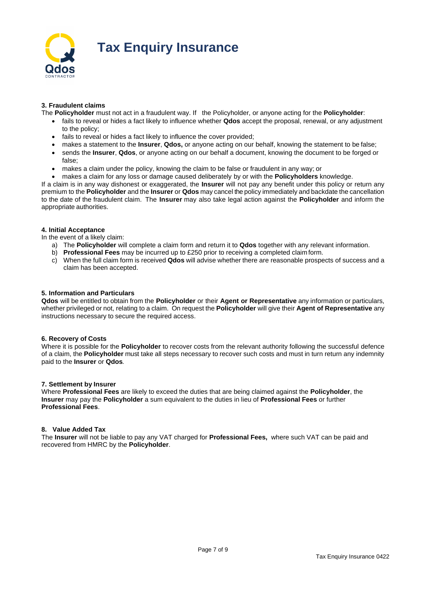

# **Tax Enquiry Insurance**

## **3. Fraudulent claims**

The **Policyholder** must not act in a fraudulent way. If the Policyholder, or anyone acting for the **Policyholder**:

- fails to reveal or hides a fact likely to influence whether **Qdos** accept the proposal, renewal, or any adjustment to the policy;
- fails to reveal or hides a fact likely to influence the cover provided;
- makes a statement to the **Insurer**, **Qdos,** or anyone acting on our behalf, knowing the statement to be false;
- sends the **Insurer**, **Qdos**, or anyone acting on our behalf a document, knowing the document to be forged or false;
- makes a claim under the policy, knowing the claim to be false or fraudulent in any way; or
- makes a claim for any loss or damage caused deliberately by or with the **Policyholders** knowledge.

If a claim is in any way dishonest or exaggerated, the **Insurer** will not pay any benefit under this policy or return any premium to the **Policyholder** and the **Insurer** or **Qdos** may cancel the policy immediately and backdate the cancellation to the date of the fraudulent claim. The **Insurer** may also take legal action against the **Policyholder** and inform the appropriate authorities.

## **4. Initial Acceptance**

In the event of a likely claim:

- a) The **Policyholder** will complete a claim form and return it to **Qdos** together with any relevant information.
- b) **Professional Fees** may be incurred up to £250 prior to receiving a completed claim form.
- c) When the full claim form is received **Qdos** will advise whether there are reasonable prospects of success and a claim has been accepted.

## **5. Information and Particulars**

**Qdos** will be entitled to obtain from the **Policyholder** or their **Agent or Representative** any information or particulars, whether privileged or not, relating to a claim. On request the **Policyholder** will give their **Agent of Representative** any instructions necessary to secure the required access.

#### **6. Recovery of Costs**

Where it is possible for the **Policyholder** to recover costs from the relevant authority following the successful defence of a claim, the **Policyholder** must take all steps necessary to recover such costs and must in turn return any indemnity paid to the **Insurer** or **Qdos***.*

#### **7. Settlement by Insurer**

Where **Professional Fees** are likely to exceed the duties that are being claimed against the **Policyholder**, the **Insurer** may pay the **Policyholder** a sum equivalent to the duties in lieu of **Professional Fees** or further **Professional Fees**.

## **8. Value Added Tax**

The **Insurer** will not be liable to pay any VAT charged for **Professional Fees,** where such VAT can be paid and recovered from HMRC by the **Policyholder**.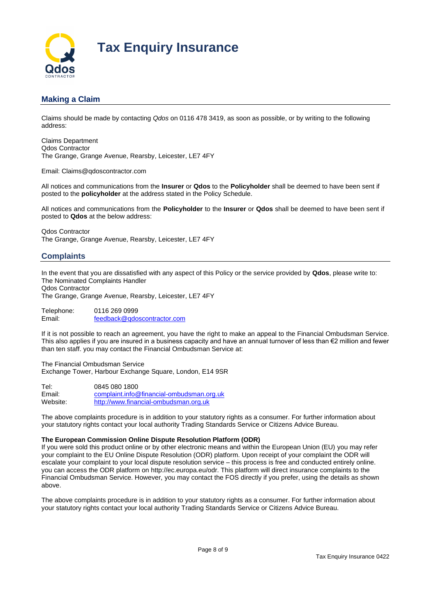

# **Making a Claim**

Claims should be made by contacting *Qdos* on 0116 478 3419, as soon as possible, or by writing to the following address:

Claims Department Qdos Contractor The Grange, Grange Avenue, Rearsby, Leicester, LE7 4FY

Email: Claims@qdoscontractor.com

All notices and communications from the **Insurer** or **Qdos** to the **Policyholder** shall be deemed to have been sent if posted to the **policyholder** at the address stated in the Policy Schedule.

All notices and communications from the **Policyholder** to the **Insurer** or **Qdos** shall be deemed to have been sent if posted to **Qdos** at the below address:

Qdos Contractor The Grange, Grange Avenue, Rearsby, Leicester, LE7 4FY

# **Complaints**

In the event that you are dissatisfied with any aspect of this Policy or the service provided by **Qdos**, please write to: The Nominated Complaints Handler Qdos Contractor

The Grange, Grange Avenue, Rearsby, Leicester, LE7 4FY

Telephone: 0116 269 0999 Email: [feedback@qdoscontractor.com](mailto:feedback@qdoscontractor.com)

If it is not possible to reach an agreement, you have the right to make an appeal to the Financial Ombudsman Service. This also applies if you are insured in a business capacity and have an annual turnover of less than €2 million and fewer than ten staff. you may contact the Financial Ombudsman Service at:

The Financial Ombudsman Service Exchange Tower, Harbour Exchange Square, London, E14 9SR

Tel: 0845 080 1800 Email: [complaint.info@financial-ombudsman.org.uk](mailto:complaint.info@financial-ombudsman.org.uk) Website: [http://www.financial-ombudsman.org.uk](http://www.financial-ombudsman.org.uk/)

The above complaints procedure is in addition to your statutory rights as a consumer. For further information about your statutory rights contact your local authority Trading Standards Service or Citizens Advice Bureau.

#### **The European Commission Online Dispute Resolution Platform (ODR)**

If you were sold this product online or by other electronic means and within the European Union (EU) you may refer your complaint to the EU Online Dispute Resolution (ODR) platform. Upon receipt of your complaint the ODR will escalate your complaint to your local dispute resolution service – this process is free and conducted entirely online. you can access the ODR platform on http://ec.europa.eu/odr. This platform will direct insurance complaints to the Financial Ombudsman Service. However, you may contact the FOS directly if you prefer, using the details as shown above.

The above complaints procedure is in addition to your statutory rights as a consumer. For further information about your statutory rights contact your local authority Trading Standards Service or Citizens Advice Bureau.